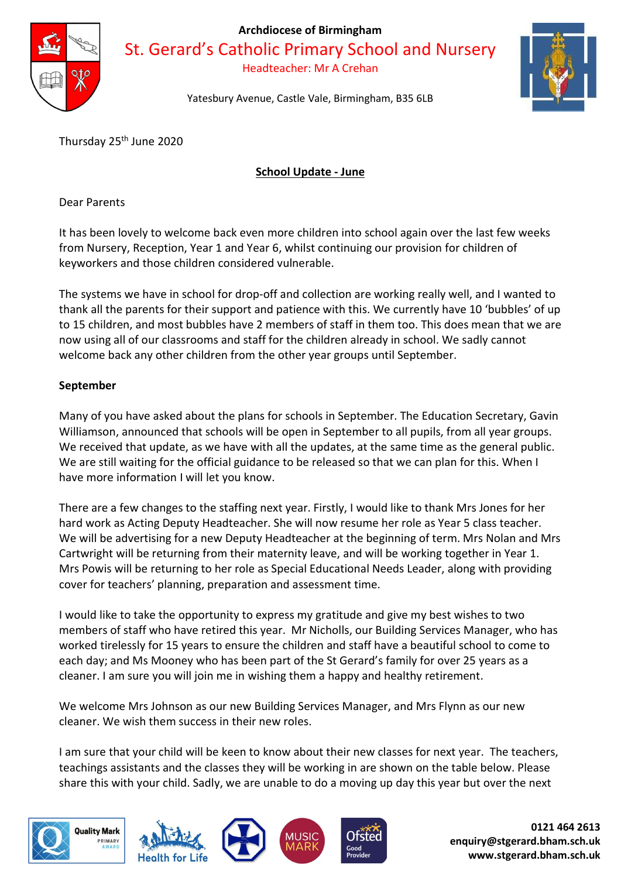

Archdiocese of Birmingham

St. Gerard's Catholic Primary School and Nursery

Headteacher: Mr A Crehan



Yatesbury Avenue, Castle Vale, Birmingham, B35 6LB

Thursday 25<sup>th</sup> June 2020

## School Update - June

Dear Parents

It has been lovely to welcome back even more children into school again over the last few weeks from Nursery, Reception, Year 1 and Year 6, whilst continuing our provision for children of keyworkers and those children considered vulnerable.

The systems we have in school for drop-off and collection are working really well, and I wanted to thank all the parents for their support and patience with this. We currently have 10 'bubbles' of up to 15 children, and most bubbles have 2 members of staff in them too. This does mean that we are now using all of our classrooms and staff for the children already in school. We sadly cannot welcome back any other children from the other year groups until September.

## September

Many of you have asked about the plans for schools in September. The Education Secretary, Gavin Williamson, announced that schools will be open in September to all pupils, from all year groups. We received that update, as we have with all the updates, at the same time as the general public. We are still waiting for the official guidance to be released so that we can plan for this. When I have more information I will let you know.

There are a few changes to the staffing next year. Firstly, I would like to thank Mrs Jones for her hard work as Acting Deputy Headteacher. She will now resume her role as Year 5 class teacher. We will be advertising for a new Deputy Headteacher at the beginning of term. Mrs Nolan and Mrs Cartwright will be returning from their maternity leave, and will be working together in Year 1. Mrs Powis will be returning to her role as Special Educational Needs Leader, along with providing cover for teachers' planning, preparation and assessment time.

I would like to take the opportunity to express my gratitude and give my best wishes to two members of staff who have retired this year. Mr Nicholls, our Building Services Manager, who has worked tirelessly for 15 years to ensure the children and staff have a beautiful school to come to each day; and Ms Mooney who has been part of the St Gerard's family for over 25 years as a cleaner. I am sure you will join me in wishing them a happy and healthy retirement.

We welcome Mrs Johnson as our new Building Services Manager, and Mrs Flynn as our new cleaner. We wish them success in their new roles.

I am sure that your child will be keen to know about their new classes for next year. The teachers, teachings assistants and the classes they will be working in are shown on the table below. Please share this with your child. Sadly, we are unable to do a moving up day this year but over the next









0121 464 2613 enquiry@stgerard.bham.sch.uk www.stgerard.bham.sch.uk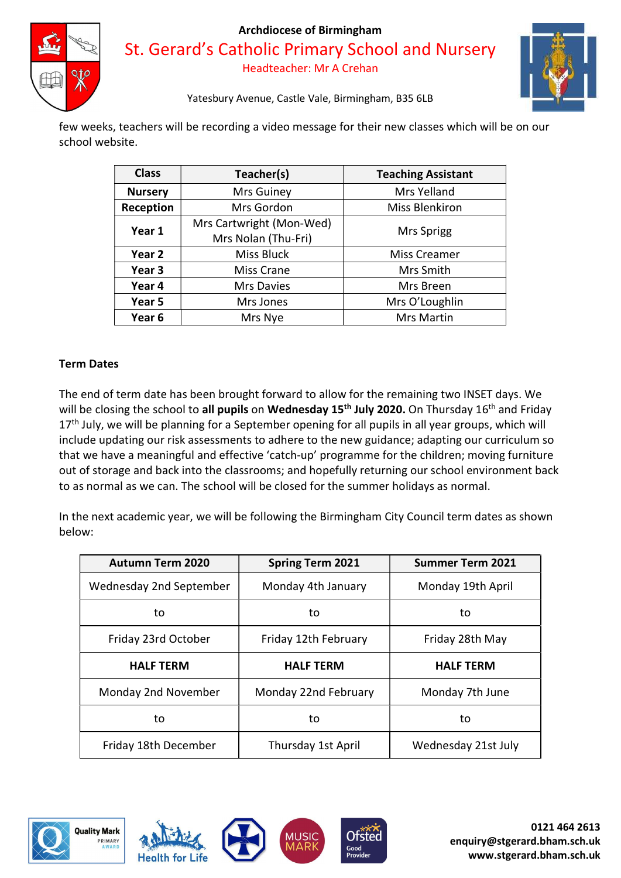

#### Archdiocese of Birmingham

St. Gerard's Catholic Primary School and Nursery Headteacher: Mr A Crehan



Yatesbury Avenue, Castle Vale, Birmingham, B35 6LB

few weeks, teachers will be recording a video message for their new classes which will be on our school website.

| <b>Class</b>      | Teacher(s)               | <b>Teaching Assistant</b> |
|-------------------|--------------------------|---------------------------|
| <b>Nursery</b>    | Mrs Guiney               | Mrs Yelland               |
| Reception         | Mrs Gordon               | <b>Miss Blenkiron</b>     |
| Year 1            | Mrs Cartwright (Mon-Wed) | Mrs Sprigg                |
|                   | Mrs Nolan (Thu-Fri)      |                           |
| Year 2            | Miss Bluck               | Miss Creamer              |
| Year <sub>3</sub> | <b>Miss Crane</b>        | Mrs Smith                 |
| Year 4            | Mrs Davies               | Mrs Breen                 |
| Year 5            | Mrs Jones                | Mrs O'Loughlin            |
| Year 6            | Mrs Nye                  | <b>Mrs Martin</b>         |

## Term Dates

The end of term date has been brought forward to allow for the remaining two INSET days. We will be closing the school to all pupils on Wednesday 15<sup>th</sup> July 2020. On Thursday 16<sup>th</sup> and Friday  $17<sup>th</sup>$  July, we will be planning for a September opening for all pupils in all year groups, which will include updating our risk assessments to adhere to the new guidance; adapting our curriculum so that we have a meaningful and effective 'catch-up' programme for the children; moving furniture out of storage and back into the classrooms; and hopefully returning our school environment back to as normal as we can. The school will be closed for the summer holidays as normal.

In the next academic year, we will be following the Birmingham City Council term dates as shown below:

| <b>Autumn Term 2020</b> | <b>Spring Term 2021</b> | <b>Summer Term 2021</b> |
|-------------------------|-------------------------|-------------------------|
| Wednesday 2nd September | Monday 4th January      | Monday 19th April       |
| to                      | to                      | to                      |
| Friday 23rd October     | Friday 12th February    | Friday 28th May         |
| <b>HALF TERM</b>        | <b>HALF TERM</b>        | <b>HALF TERM</b>        |
| Monday 2nd November     | Monday 22nd February    | Monday 7th June         |
| to                      | to                      | to                      |
| Friday 18th December    | Thursday 1st April      | Wednesday 21st July     |